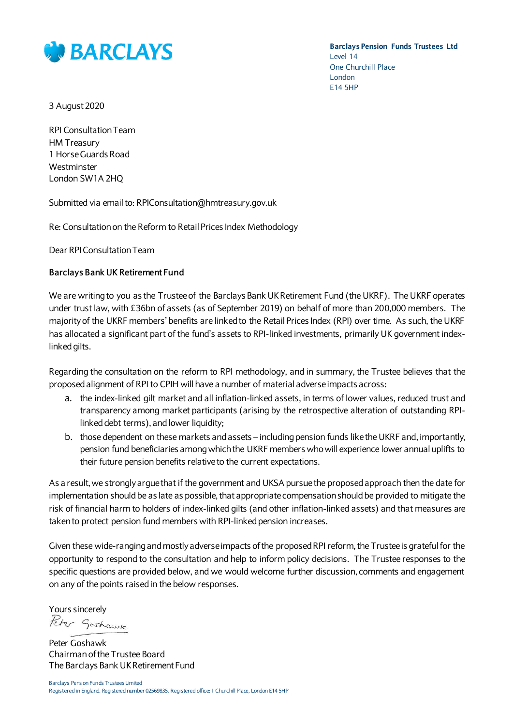

**Barclays Pension Funds Trustees Ltd** Level 14 One Churchill Place London E14 5HP

3 August 2020

RPI Consultation Team HM Treasury 1 Horse Guards Road **Westminster** London SW1A 2HQ

Submitted via email to: RPIConsultation@hmtreasury.gov.uk

Re: Consultation on the Reform to Retail Prices Index Methodology

Dear RPI Consultation Team

## **Barclays Bank UK Retirement Fund**

We are writing to you as the Trustee of the Barclays Bank UK Retirement Fund (the UKRF). The UKRF operates under trust law, with £36bn of assets (as of September 2019) on behalf of more than 200,000 members. The majority of the UKRF members' benefits are linked to the Retail Prices Index (RPI) over time. As such, the UKRF has allocated a significant part of the fund's assets to RPI-linked investments, primarily UK government indexlinked gilts.

Regarding the consultation on the reform to RPI methodology, and in summary, the Trustee believes that the proposed alignment of RPI to CPIH will have a number of material adverse impacts across:

- a. the index-linked gilt market and all inflation-linked assets, in terms of lower values, reduced trust and transparency among market participants (arising by the retrospective alteration of outstanding RPIlinked debt terms), and lower liquidity;
- b. those dependent on these markets and assets including pension funds like the UKRF and, importantly, pension fund beneficiaries among which the UKRF members who will experience lower annual uplifts to their future pension benefits relative to the current expectations.

As a result, we strongly argue that if the government and UKSA pursue the proposed approach then the date for implementation should be as late as possible, that appropriate compensation should be provided to mitigate the risk of financial harm to holders of index-linked gilts (and other inflation-linked assets) and that measures are taken to protect pension fund members with RPI-linked pension increases.

Given these wide-ranging and mostly adverse impacts of the proposed RPI reform, the Trustee is grateful for the opportunity to respond to the consultation and help to inform policy decisions. The Trustee responses to the specific questions are provided below, and we would welcome further discussion, comments and engagement on any of the points raised in the below responses.

Yours sincerely Peter Goshawk

Peter Goshawk Chairman of the Trustee Board The Barclays Bank UK Retirement Fund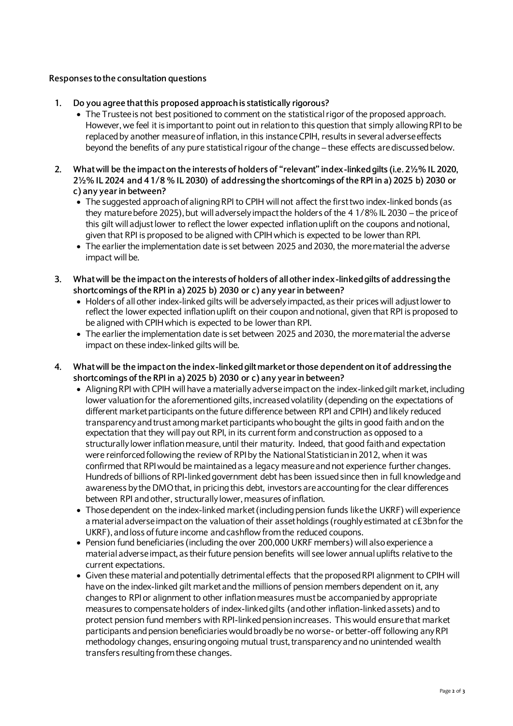## **Responses to the consultation questions**

- **1. Do you agree that this proposed approach is statistically rigorous?**
	- The Trustee is not best positioned to comment on the statistical rigor of the proposed approach. However, we feel it is important to point out in relation to this question that simply allowing RPI to be replaced by another measure of inflation, in this instance CPIH, results in several adverse effects beyond the benefits of any pure statistical rigour of the change – these effects are discussed below.
- **2. What will be the impact on the interests of holders of "relevant" index-linked gilts (i.e. 2½% IL 2020, 2½% IL 2024 and 4 1/8 % IL 2030) of addressing the shortcomings of the RPI in a) 2025 b) 2030 or c) any yearin between?**
	- The suggested approach of aligning RPI to CPIH will not affect the first two index-linked bonds (as they mature before 2025), but will adversely impact the holders of the 4 1/8% IL 2030 – the price of this gilt will adjust lower to reflect the lower expected inflation uplift on the coupons and notional, given that RPI is proposed to be aligned with CPIH which is expected to be lower than RPI.
	- The earlier the implementation date is set between 2025 and 2030, the more material the adverse impact will be.
- **3. What will be the impact on the interests of holders of all other index-linked gilts of addressing the shortcomings of the RPI in a) 2025 b) 2030 or c) any year in between?**
	- Holders of all other index-linked gilts will be adversely impacted, as their prices will adjust lower to reflect the lower expected inflation uplift on their coupon and notional, given that RPI is proposed to be aligned with CPIH which is expected to be lower than RPI.
	- The earlier the implementation date is set between 2025 and 2030, the more material the adverse impact on these index-linked gilts will be.
- **4. What will be the impact on the index-linked gilt market or those dependent on it of addressing the shortcomings of the RPI in a) 2025 b) 2030 or c) any year in between?** 
	- Aligning RPI with CPIH will have a materially adverse impact on the index-linked gilt market, including lower valuation for the aforementioned gilts, increased volatility (depending on the expectations of different market participants on the future difference between RPI and CPIH) and likely reduced transparency and trust among market participants who bought the gilts in good faith and on the expectation that they will pay out RPI, in its current form and construction as opposed to a structurally lower inflation measure, until their maturity. Indeed, that good faith and expectation were reinforced following the review of RPI by the National Statistician in 2012, when it was confirmed that RPI would be maintained as a legacy measure and not experience further changes. Hundreds of billions of RPI-linked government debt has been issued since then in full knowledge and awareness by the DMO that, in pricing this debt, investors are accounting for the clear differences between RPI and other, structurally lower, measures of inflation.
	- Those dependent on the index-linked market (including pension funds like the UKRF) will experience a material adverse impact on the valuation of their asset holdings (roughly estimated at c£3bn for the UKRF), and loss of future income and cashflow from the reduced coupons.
	- Pension fund beneficiaries (including the over 200,000 UKRF members) will also experience a material adverse impact, as their future pension benefits will see lower annual uplifts relative to the current expectations.
	- Given these material and potentially detrimental effects that the proposed RPI alignment to CPIH will have on the index-linked gilt market and the millions of pension members dependent on it, any changes to RPI or alignment to other inflation measures mustbe accompanied by appropriate measures to compensate holders of index-linked gilts (and other inflation-linked assets) and to protect pension fund members with RPI-linked pension increases. This would ensure that market participants and pension beneficiaries would broadly be no worse- or better-off following any RPI methodology changes, ensuring ongoing mutual trust, transparency and no unintended wealth transfers resulting from these changes.